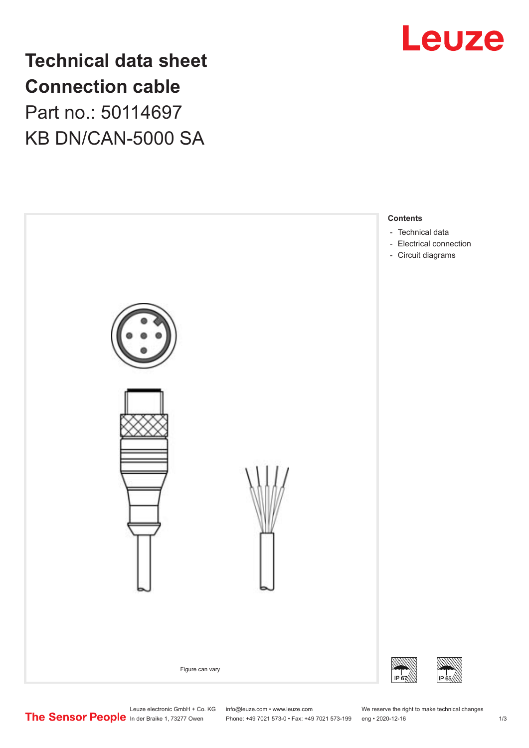

## **Technical data sheet Connection cable** Part no.: 50114697 KB DN/CAN-5000 SA



Leuze electronic GmbH + Co. KG info@leuze.com • www.leuze.com We reserve the right to make technical changes<br>
The Sensor People in der Braike 1, 73277 Owen Phone: +49 7021 573-0 • Fax: +49 7021 573-199 eng • 2020-12-16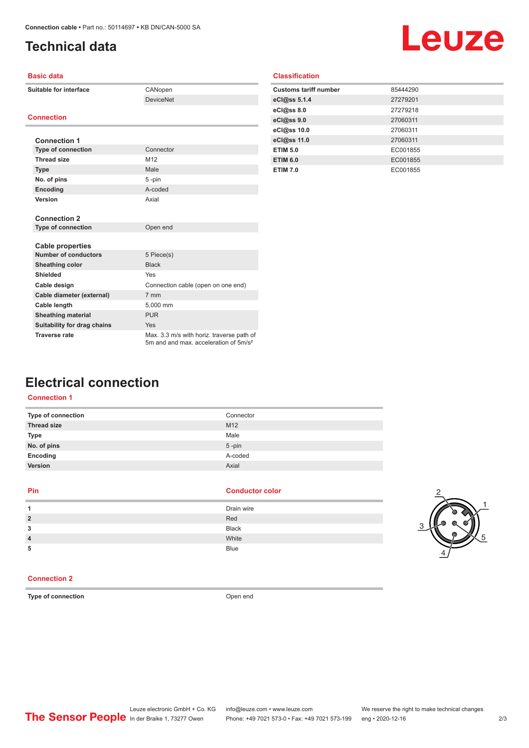## <span id="page-1-0"></span>**Technical data**

# Leuze

| <b>Basic data</b>           |                                                                                                |
|-----------------------------|------------------------------------------------------------------------------------------------|
| Suitable for interface      | CANopen                                                                                        |
|                             | <b>DeviceNet</b>                                                                               |
|                             |                                                                                                |
| <b>Connection</b>           |                                                                                                |
|                             |                                                                                                |
| <b>Connection 1</b>         |                                                                                                |
| <b>Type of connection</b>   | Connector                                                                                      |
| <b>Thread size</b>          | M <sub>12</sub>                                                                                |
| <b>Type</b>                 | Male                                                                                           |
| No. of pins                 | 5-pin                                                                                          |
| Encoding                    | A-coded                                                                                        |
| Version                     | Axial                                                                                          |
|                             |                                                                                                |
| <b>Connection 2</b>         |                                                                                                |
| <b>Type of connection</b>   | Open end                                                                                       |
|                             |                                                                                                |
| <b>Cable properties</b>     |                                                                                                |
| <b>Number of conductors</b> | 5 Piece(s)                                                                                     |
| <b>Sheathing color</b>      | <b>Black</b>                                                                                   |
| Shielded                    | Yes                                                                                            |
| Cable design                | Connection cable (open on one end)                                                             |
| Cable diameter (external)   | 7 mm                                                                                           |
| Cable length                | 5,000 mm                                                                                       |
| <b>Sheathing material</b>   | <b>PUR</b>                                                                                     |
| Suitability for drag chains | Yes                                                                                            |
| <b>Traverse rate</b>        | Max. 3.3 m/s with horiz. traverse path of<br>5m and and max, acceleration of 5m/s <sup>2</sup> |

| <b>Classification</b> |
|-----------------------|
|-----------------------|

| <b>Customs tariff number</b> | 85444290 |
|------------------------------|----------|
| eCl@ss 5.1.4                 | 27279201 |
| eC <sub>1</sub> @ss 8.0      | 27279218 |
| eCl@ss 9.0                   | 27060311 |
| eCl@ss 10.0                  | 27060311 |
| eCl@ss 11.0                  | 27060311 |
| <b>ETIM 5.0</b>              | EC001855 |
| <b>ETIM 6.0</b>              | EC001855 |
| <b>ETIM 7.0</b>              | EC001855 |

### **Electrical connection**

#### **Connection 1**

| Type of connection | Connector       |
|--------------------|-----------------|
| <b>Thread size</b> | M <sub>12</sub> |
| Type               | Male            |
| No. of pins        | $5$ -pin        |
| Encoding           | A-coded         |
| Version            | Axial           |
|                    |                 |

#### **Pin Conductor color**

| л              | Drain wire   |
|----------------|--------------|
| $\overline{2}$ | Red          |
| 3              | <b>Black</b> |
| $\overline{4}$ | White        |
| 5              | <b>Blue</b>  |



#### **Connection 2**

**Type of connection Open end**